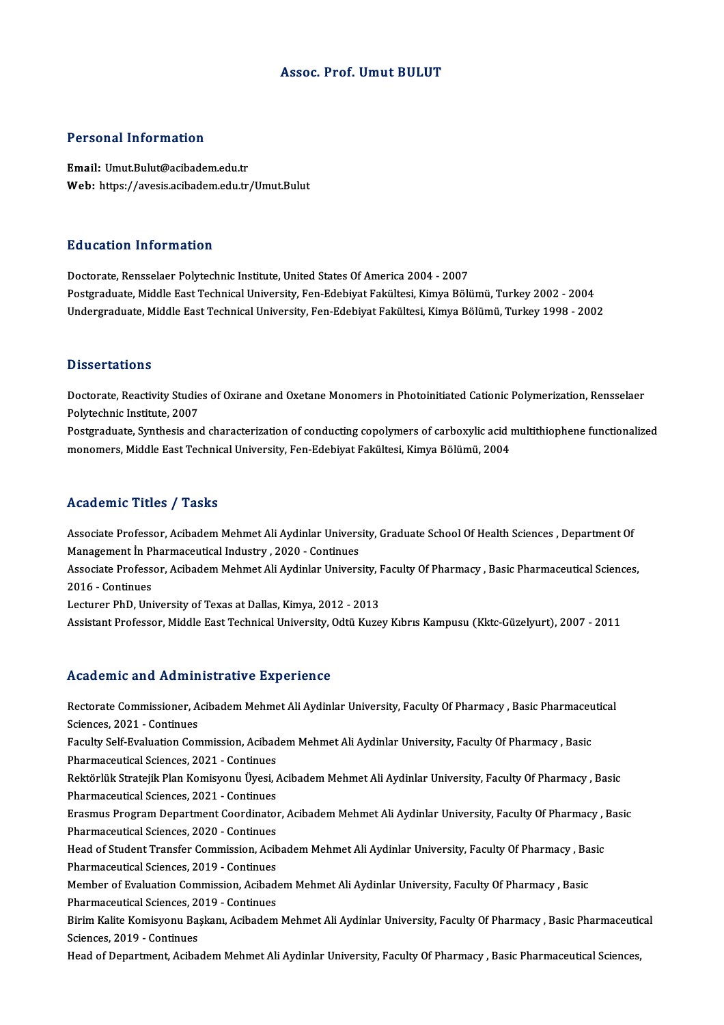# Assoc. Prof. Umut BULUT

### Personal Information

Email: Umut.Bulut@acibadem.edu.tr Web: https://avesis.acibadem.edu.tr/Umut.Bulut

### Education Information

Doctorate, Rensselaer Polytechnic Institute, United States Of America 2004 - 2007 Postgraduate, Middle East Technical University, Fen-Edebiyat Fakültesi, Kimya Bölümü, Turkey 2002 - 2004 Undergraduate, Middle East Technical University, Fen-Edebiyat Fakültesi, Kimya Bölümü, Turkey 1998 - 2002

### **Dissertations**

Doctorate, Reactivity Studies of Oxirane and Oxetane Monomers in Photoinitiated Cationic Polymerization, Rensselaer Polytechnic Institute,2007 Doctorate, Reactivity Studies of Oxirane and Oxetane Monomers in Photoinitiated Cationic Polymerization, Rensselaer<br>Polytechnic Institute, 2007<br>Postgraduate, Synthesis and characterization of conducting copolymers of carbo

Polytechnic Institute, 2007<br>Postgraduate, Synthesis and characterization of conducting copolymers of carboxylic acid 1<br>monomers, Middle East Technical University, Fen-Edebiyat Fakültesi, Kimya Bölümü, 2004 monomers, Middle East Technical University, Fen-Edebiyat Fakültesi, Kimya Bölümü, 2004<br>Academic Titles / Tasks

Associate Professor, Acibadem Mehmet Ali Aydinlar University, Graduate School Of Health Sciences, Department Of Management İndree'', "Adalıcı"<br>Associate Professor, Acibadem Mehmet Ali Aydinlar Univers<br>Management İn Pharmaceutical Industry , 2020 - Continues<br>Associate Professor, Acibadem Mehmet Ali Aydinlar Univers

Associate Professor, Acibadem Mehmet Ali Aydinlar University, Faculty Of Pharmacy , Basic Pharmaceutical Sciences,<br>2016 - Continues Management İn Pl<br>Associate Profess<br>2016 - Continues<br>Lecturer PhD, Uni

Lecturer PhD, University of Texas at Dallas, Kimya, 2012 - 2013

AssistantProfessor,MiddleEastTechnicalUniversity,OdtüKuzeyKıbrısKampusu (Kktc-Güzelyurt),2007 -2011

### Academic and Administrative Experience

Academic and Administrative Experience<br>Rectorate Commissioner, Acibadem Mehmet Ali Aydinlar University, Faculty Of Pharmacy , Basic Pharmaceutical<br>Sejanges 2021 - Continues Sciences, 2021 - Continues<br>Sciences, 2021 - Continues<br>Feculty Self-Evaluation Con Rectorate Commissioner, Acibadem Mehmet Ali Aydinlar University, Faculty Of Pharmacy , Basic Pharmaceu<br>Sciences, 2021 - Continues<br>Faculty Self-Evaluation Commission, Acibadem Mehmet Ali Aydinlar University, Faculty Of Phar Sciences, 2021 - Continues<br>Faculty Self-Evaluation Commission, Acibad<br>Pharmaceutical Sciences, 2021 - Continues<br>Rektörlük Strateijk Plan Komisyonu Üyesi Faculty Self-Evaluation Commission, Acibadem Mehmet Ali Aydinlar University, Faculty Of Pharmacy , Basic<br>Pharmaceutical Sciences, 2021 - Continues<br>Rektörlük Stratejik Plan Komisyonu Üyesi, Acibadem Mehmet Ali Aydinlar Univ

Pharmaceutical Sciences, 2021 - Continues<br>Rektörlük Stratejik Plan Komisyonu Üyesi, *I*<br>Pharmaceutical Sciences, 2021 - Continues<br>Frasmus Program Department Coordinates Rektörlük Stratejik Plan Komisyonu Üyesi, Acibadem Mehmet Ali Aydinlar University, Faculty Of Pharmacy , Basic<br>Pharmaceutical Sciences, 2021 - Continues<br>Erasmus Program Department Coordinator, Acibadem Mehmet Ali Aydinlar

Pharmaceutical Sciences, 2021 - Continues<br>Erasmus Program Department Coordinator<br>Pharmaceutical Sciences, 2020 - Continues<br>Head of Student Transfor Commission, Asib Erasmus Program Department Coordinator, Acibadem Mehmet Ali Aydinlar University, Faculty Of Pharmacy , I<br>Pharmaceutical Sciences, 2020 - Continues<br>Head of Student Transfer Commission, Acibadem Mehmet Ali Aydinlar Universit

Pharmaceutical Sciences, 2020 - Continues<br>Head of Student Transfer Commission, Acibadem Mehmet Ali Aydinlar University, Faculty Of Pharmacy , Basic<br>Pharmaceutical Sciences, 2019 - Continues Head of Student Transfer Commission, Acibadem Mehmet Ali Aydinlar University, Faculty Of Pharmacy , Ba<br>Pharmaceutical Sciences, 2019 - Continues<br>Member of Evaluation Commission, Acibadem Mehmet Ali Aydinlar University, Fac

Pharmaceutical Sciences, 2019 - Continues<br>Member of Evaluation Commission, Acibade<br>Pharmaceutical Sciences, 2019 - Continues<br>Birim Kelite Komisyonu Baskanu, Asibadem Member of Evaluation Commission, Acibadem Mehmet Ali Aydinlar University, Faculty Of Pharmacy , Basic<br>Pharmaceutical Sciences, 2019 - Continues<br>Birim Kalite Komisyonu Başkanı, Acibadem Mehmet Ali Aydinlar University, Facul

Pharmaceutical Sciences, 20<br>Birim Kalite Komisyonu Ba;<br>Sciences, 2019 - Continues<br>Head of Denartment, Asiba Birim Kalite Komisyonu Başkanı, Acibadem Mehmet Ali Aydinlar University, Faculty Of Pharmacy , Basic Pharmaceutic<br>Sciences, 2019 - Continues<br>Head of Department, Acibadem Mehmet Ali Aydinlar University, Faculty Of Pharmacy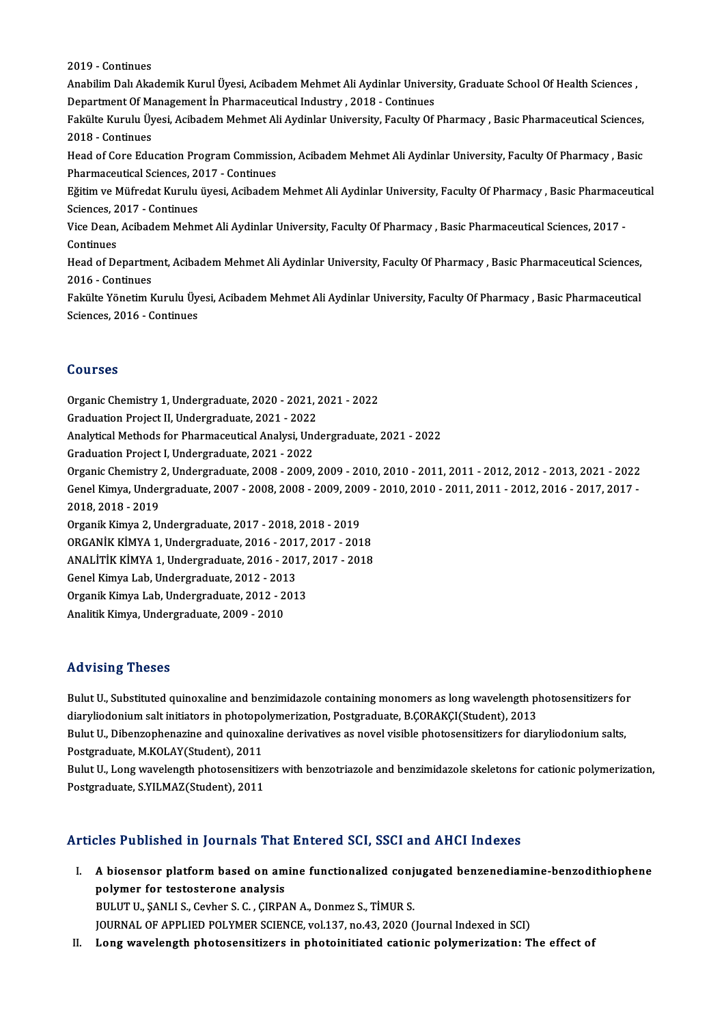2019 -Continues 2019 - Continues<br>Anabilim Dalı Akademik Kurul Üyesi, Acibadem Mehmet Ali Aydinlar University, Graduate School Of Health Sciences ,<br>Denartment Of Management İn Pharmageutical Industry, 2018, "Centinues , 2019 - Continues<br>Anabilim Dalı Akademik Kurul Üyesi, Acibadem Mehmet Ali Aydinlar Univer:<br>Department Of Management İn Pharmaceutical Industry , 2018 - Continues<br>Felsilte Kurulu Üyesi, Asibadem Mehmet Ali Aydinlar Universit Anabilim Dalı Akademik Kurul Üyesi, Acibadem Mehmet Ali Aydinlar University, Graduate School Of Health Sciences<br>Department Of Management İn Pharmaceutical Industry , 2018 - Continues<br>Fakülte Kurulu Üyesi, Acibadem Mehmet A Department Of Ma<br>Fakülte Kurulu Üy<br>2018 - Continues<br>Head of Core Edu Fakülte Kurulu Üyesi, Acibadem Mehmet Ali Aydinlar University, Faculty Of Pharmacy , Basic Pharmaceutical Sciences,<br>2018 - Continues<br>Head of Core Education Program Commission, Acibadem Mehmet Ali Aydinlar University, Facul 2018 - Continues<br>Head of Core Education Program Commissi<br>Pharmaceutical Sciences, 2017 - Continues<br>Fĕitim ve Müfredat Kurulu üyesi, Asibadem Head of Core Education Program Commission, Acibadem Mehmet Ali Aydinlar University, Faculty Of Pharmacy , Basic<br>Pharmaceutical Sciences, 2017 - Continues<br>Eğitim ve Müfredat Kurulu üyesi, Acibadem Mehmet Ali Aydinlar Univer Pharmaceutical Sciences, 2017 - Continues<br>Eğitim ve Müfredat Kurulu üyesi, Acibadem Mehmet Ali Aydinlar University, Faculty Of Pharmacy , Basic Pharmaceutical<br>Sciences, 2017 - Continues Eğitim ve Müfredat Kurulu üyesi, Acibadem Mehmet Ali Aydinlar University, Faculty Of Pharmacy , Basic Pharmace<br>Sciences, 2017 - Continues<br>Vice Dean, Acibadem Mehmet Ali Aydinlar University, Faculty Of Pharmacy , Basic Phar Sciences, 2<br>Vice Dean,<br>Continues<br>Head of De Vice Dean, Acibadem Mehmet Ali Aydinlar University, Faculty Of Pharmacy , Basic Pharmaceutical Sciences, 2017 -<br>Continues<br>Head of Department, Acibadem Mehmet Ali Aydinlar University, Faculty Of Pharmacy , Basic Pharmaceuti Continues<br>Head of Department, Acibadem Mehmet Ali Aydinlar University, Faculty Of Pharmacy , Basic Pharmaceutical Sciences,<br>2016 - Continues Head of Department, Acibadem Mehmet Ali Aydinlar University, Faculty Of Pharmacy , Basic Pharmaceutical Sciences,<br>2016 - Continues<br>Fakülte Yönetim Kurulu Üyesi, Acibadem Mehmet Ali Aydinlar University, Faculty Of Pharmacy 2016 - Continues<br>Fakülte Yönetim Kurulu Üy<br>Sciences, 2016 - Continues Sciences, 2016 - Continues<br>Courses

Courses<br>Organic Chemistry 1, Undergraduate, 2020 - 2021, 2021 - 2022<br>Craduation Project II Undergraduate, 2021 - 2022 Sources<br>Organic Chemistry 1, Undergraduate, 2020 - 2021, ;<br>Graduation Project II, Undergraduate, 2021 - 2022<br>Analytical Methods for Pharmacoutical Analysi Und Analytical Methods for Pharmaceutical Analysi, Undergraduate, 2021 - 2022<br>Graduation Project I, Undergraduate, 2021 - 2022 Graduation Project II, Undergraduate, 2021 - 2022 Analytical Methods for Pharmaceutical Analysi, Undergraduate, 2021 - 2022<br>Graduation Project I, Undergraduate, 2021 - 2022<br>Organic Chemistry 2, Undergraduate, 2008 - 2009, 2009 - 2010, 2010 - 2011, 2011 - 2012, 2012 - 2013 Graduation Project I, Undergraduate, 2021 - 2022<br>Organic Chemistry 2, Undergraduate, 2008 - 2009, 2009 - 2010, 2010 - 2011, 2011 - 2012, 2012 - 2013, 2021 - 2022<br>Genel Kimya, Undergraduate, 2007 - 2008, 2008 - 2009, 2009 -Organic Chemistry<br>3018 -2018 -2019<br>2018, 2018 - 2019<br>Organik Kimua 2, Un Genel Kimya, Undergraduate, 2007 - 2008, 2008 - 2009, 2009 - 2010, 2010 - 2011, 2011 - 2012, 2016 - 2017, 2017 -<br>2018, 2018 - 2019<br>Organik Kimya 2, Undergraduate, 2017 - 2018, 2018 - 2019<br>ORGANIK KIMYA 1, Undergraduate, 20 Organik Kimya 2, Undergraduate, 2017 - 2018, 2018 - 2019 ANALİTİKKİMYA1,Undergraduate,2016 -2017,2017 -2018 ORGANİK KİMYA 1, Undergraduate, 2016 - 201<br>ANALİTİK KİMYA 1, Undergraduate, 2016 - 201<br>Genel Kimya Lab, Undergraduate, 2012 - 2013<br>Organik Kimya Lab, Undergraduate, 2012 - 201 ANALİTİK KİMYA 1, Undergraduate, 2016 - 2017,<br>Genel Kimya Lab, Undergraduate, 2012 - 2013<br>Organik Kimya Lab, Undergraduate, 2012 - 2013<br>Analitik Kimya, Undergraduate, 2009 - 2010 Genel Kimya Lab, Undergraduate, 2012 - 201<br>Organik Kimya Lab, Undergraduate, 2012 - 2<br>Analitik Kimya, Undergraduate, 2009 - 2010 Analitik Kimya, Undergraduate, 2009 - 2010<br>Advising Theses

Advising Theses<br>Bulut U., Substituted quinoxaline and benzimidazole containing monomers as long wavelength photosensitizers for<br>diamviadenium selt initiaters in photonelymerization. Besteraduate B.COBAKCI(Student), 2012 raa vierny in 1999.<br>Bulut U., Substituted quinoxaline and benzimidazole containing monomers as long wavelength pl<br>diaryliodonium salt initiators in photopolymerization, Postgraduate, B.ÇORAKÇI(Student), 2013<br>Pulut II. Dibe Bulut U., Substituted quinoxaline and benzimidazole containing monomers as long wavelength photosensitizers for<br>diaryliodonium salt initiators in photopolymerization, Postgraduate, B.ÇORAKÇI(Student), 2013<br>Bulut U., Dibenz diaryliodonium salt initiators in photopo<br>Bulut U., Dibenzophenazine and quinoxa<br>Postgraduate, M.KOLAY(Student), 2011<br>Pulut II, Lang wavelength photosopsitig Bulut U., Dibenzophenazine and quinoxaline derivatives as novel visible photosensitizers for diaryliodonium salts,<br>Postgraduate, M.KOLAY(Student), 2011<br>Bulut U., Long wavelength photosensitizers with benzotriazole and benz Postgraduate, M.KOLAY(Student), 2011<br>Bulut U., Long wavelength photosensitize<br>Postgraduate, S.YILMAZ(Student), 2011

# Articles Published in Journals That Entered SCI, SSCI and AHCI Indexes

- rticles Published in Journals That Entered SCI, SSCI and AHCI Indexes<br>I. A biosensor platform based on amine functionalized conjugated benzenediamine-benzodithiophene<br>nelumer for testestenene enelusie A biosensor platform based on am<br>polymer for testosterone analysis<br>PULUTU SANLLS Gorbor S.G. CIPPA A biosensor platform based on amine functionalized conj<br>polymer for testosterone analysis<br>BULUT U., ŞANLI S., Cevher S. C. , ÇIRPAN A., Donmez S., TİMUR S.<br>JOUPNAL OF APPLIED POLYMER SCIENCE vel 127, pe 43, 3930 ( polymer for testosterone analysis<br>BULUT U., ŞANLI S., Cevher S. C. , ÇIRPAN A., Donmez S., TİMUR S.<br>JOURNAL OF APPLIED POLYMER SCIENCE, vol.137, no.43, 2020 (Journal Indexed in SCI)
- II. Long wavelength photosensitizers in photoinitiated cationic polymerization: The effect of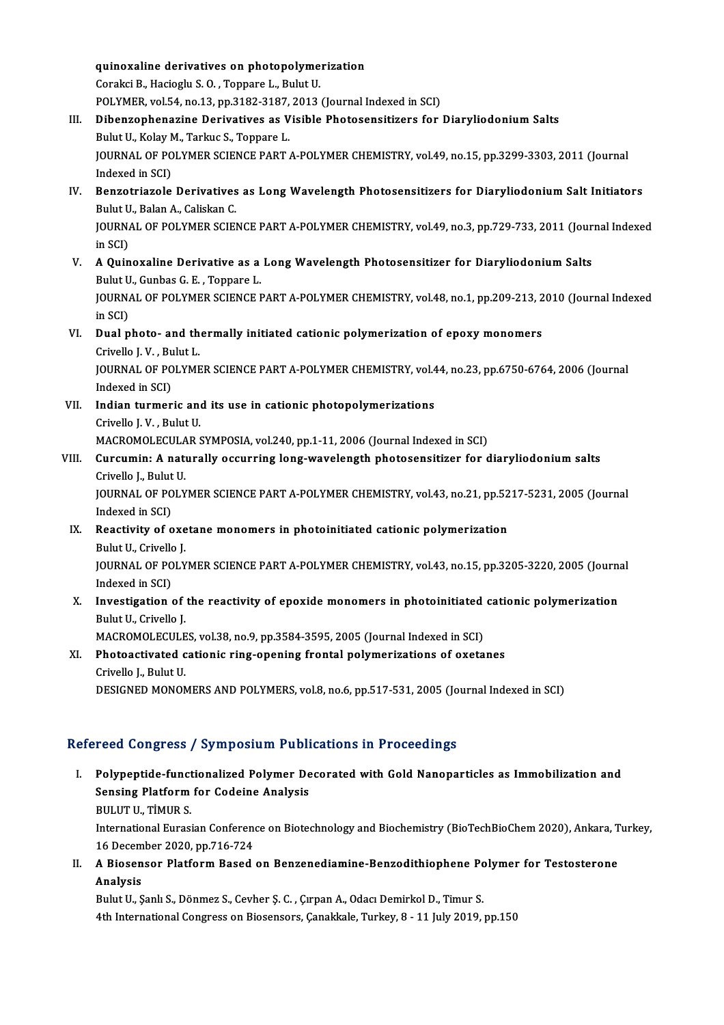quinoxaline derivatives on photopolymerization<br>Coraksi B. Hasiashu S.O. Tennere L. Buhrt H quinoxaline derivatives on photopolyme<br>Corakci B., Hacioglu S. O. , Toppare L., Bulut U.<br>POLYMER vel 54, no 12, np 3192, 3197, 2012. Corakci B., Hacioglu S. O. , Toppare L., Bulut U.<br>POLYMER, vol.54, no.13, pp.3182-3187, 2013 (Journal Indexed in SCI) Corakci B., Hacioglu S. O. , Toppare L., Bulut U.<br>POLYMER, vol.54, no.13, pp.3182-3187, 2013 (Journal Indexed in SCI)<br>III. Dibenzophenazine Derivatives as Visible Photosensitizers for Diaryliodonium Salts<br>Pulut II. Kolay M POLYMER, vol.54, no.13, pp.3182-3187,<br>Dibenzophenazine Derivatives as V<br>Bulut U., Kolay M., Tarkuc S., Toppare L.<br>JOUPNAL OF POLYMER SCIENCE PAPT. Dibenzophenazine Derivatives as Visible Photosensitizers for Diaryliodonium Salts<br>Bulut U., Kolay M., Tarkuc S., Toppare L.<br>JOURNAL OF POLYMER SCIENCE PART A-POLYMER CHEMISTRY, vol.49, no.15, pp.3299-3303, 2011 (Journal<br>In Bulut U., Kolay N<br>JOURNAL OF PO<br>Indexed in SCI)<br>Bongetriagolo JOURNAL OF POLYMER SCIENCE PART A-POLYMER CHEMISTRY, vol.49, no.15, pp.3299-3303, 2011 (Journal Indexed in SCI)<br>IV. Benzotriazole Derivatives as Long Wavelength Photosensitizers for Diaryliodonium Salt Initiators<br>Pulut II, Indexed in SCI)<br>IV. Benzotriazole Derivatives as Long Wavelength Photosensitizers for Diaryliodonium Salt Initiators<br>Bulut U., Balan A., Caliskan C. Benzotriazole Derivatives as Long Wavelength Photosensitizers for Diaryliodonium Salt Initiators<br>Bulut U., Balan A., Caliskan C.<br>JOURNAL OF POLYMER SCIENCE PART A-POLYMER CHEMISTRY, vol.49, no.3, pp.729-733, 2011 (Journal Bulut U<br>JOURNA<br>in SCI)<br>A Quin FOURNAL OF POLYMER SCIENCE PART A-POLYMER CHEMISTRY, vol.49, no.3, pp.729-733, 2011 (Jour<br>in SCI)<br>V. A Quinoxaline Derivative as a Long Wavelength Photosensitizer for Diaryliodonium Salts<br>Pulut II, Cupbec C. E. Toppere I in SCI)<br>V. A Quinoxaline Derivative as a Long Wavelength Photosensitizer for Diaryliodonium Salts<br>Bulut U., Gunbas G. E. , Toppare L. A Quinoxaline Derivative as a Long Wavelength Photosensitizer for Diaryliodonium Salts<br>Bulut U., Gunbas G. E. , Toppare L.<br>JOURNAL OF POLYMER SCIENCE PART A-POLYMER CHEMISTRY, vol.48, no.1, pp.209-213, 2010 (Journal Indexe Bulut U<br>JOURNA<br>in SCI)<br>Puel p JOURNAL OF POLYMER SCIENCE PART A-POLYMER CHEMISTRY, vol.48, no.1, pp.209-213, 2<br>in SCI)<br>VI. Dual photo- and thermally initiated cationic polymerization of epoxy monomers<br>Crivella J. V. Bulut J in SCI)<br>VI. Dual photo- and thermally initiated cationic polymerization of epoxy monomers JOURNAL OF POLYMER SCIENCE PART A-POLYMER CHEMISTRY, vol.44, no.23, pp.6750-6764, 2006 (Journal Indexed in SCI) Crivello J. V., Bulut L. JOURNAL OF POLYMER SCIENCE PART A-POLYMER CHEMISTRY, vol.4<br>Indexed in SCI)<br>VII. Indian turmeric and its use in cationic photopolymerizations<br>Crivelle J. V. Bulut II Indexed in SCI)<br>Indian turmeric and<br>Crivello J. V. , Bulut U.<br>MACROMOLECULAR S Crivello J. V., Bulut U.<br>MACROMOLECULAR SYMPOSIA, vol.240, pp.1-11, 2006 (Journal Indexed in SCI) Crivello J. V. , Bulut U.<br>MACROMOLECULAR SYMPOSIA, vol.240, pp.1-11, 2006 (Journal Indexed in SCI)<br>VIII. Curcumin: A naturally occurring long-wavelength photosensitizer for diaryliodonium salts<br>Crivello J. Bulut II MACROMOLECULA<br>Curcumin: A nati<br>Crivello J., Bulut U.<br>JOUPNAL OF POLY Curcumin: A naturally occurring long-wavelength photosensitizer for diaryliodonium salts<br>Crivello J., Bulut U.<br>JOURNAL OF POLYMER SCIENCE PART A-POLYMER CHEMISTRY, vol.43, no.21, pp.5217-5231, 2005 (Journal<br>Indexed in SCL) Crivello J., Bulut<br>JOURNAL OF PO<br>Indexed in SCI)<br>Boastivity of a JOURNAL OF POLYMER SCIENCE PART A-POLYMER CHEMISTRY, vol.43, no.21, pp.52<br>Indexed in SCI)<br>IX. Reactivity of oxetane monomers in photoinitiated cationic polymerization<br>Pulut II. Crivelle I Indexed in SCI)<br>IX. Reactivity of oxetane monomers in photoinitiated cationic polymerization<br>Bulut U., Crivello J. Reactivity of oxetane monomers in photoinitiated cationic polymerization<br>Bulut U., Crivello J.<br>JOURNAL OF POLYMER SCIENCE PART A-POLYMER CHEMISTRY, vol.43, no.15, pp.3205-3220, 2005 (Journal<br>Indeved in SCL) Bulut U., Crivello<br>JOURNAL OF PO<br>Indexed in SCI)<br>Investigation JOURNAL OF POLYMER SCIENCE PART A-POLYMER CHEMISTRY, vol.43, no.15, pp.3205-3220, 2005 (Journal<br>Indexed in SCI)<br>X. Investigation of the reactivity of epoxide monomers in photoinitiated cationic polymerization<br>Bulut II. Cri Indexed in SCI)<br>X. Investigation of the reactivity of epoxide monomers in photoinitiated cationic polymerization<br>Bulut U., Crivello J. Investigation of the reactivity of epoxide monomers in photoinitiated<br>Bulut U., Crivello J.<br>MACROMOLECULES, vol.38, no.9, pp.3584-3595, 2005 (Journal Indexed in SCI)<br>Photoactivated estienia ring apening frantal polymerigat

# XI. Photoactivated cationic ring-opening frontal polymerizations of oxetanes MACROMOLECULE<br>Photoactivated<br>Crivello J., Bulut U.<br>DESICNED MONON DESIGNED MONOMERS AND POLYMERS, vol.8, no.6, pp.517-531, 2005 (Journal Indexed in SCI)

# Refereed Congress / Symposium Publications in Proceedings

- efereed Congress / Symposium Publications in Proceedings<br>I. Polypeptide-functionalized Polymer Decorated with Gold Nanoparticles as Immobilization and<br>Sensing Platform for Codeine Analysis Sensing Platform for Codeine Analysis<br>Sensing Platform for Codeine Analysis<br>PLU LIT U. TIMUR S Polypeptide-funct<br>Sensing Platform<br>BULUT U., TİMUR S.<br>International Eurosi Sensing Platform for Codeine Analysis<br>BULUT U., TİMUR S.<br>International Eurasian Conference on Biotechnology and Biochemistry (BioTechBioChem 2020), Ankara, Turkey, 16 BULUT U., TIMUR S.<br>International Eurasian Conference<br>16 December 2020, pp.716-724<br>A Biosonson Blatform Based International Eurasian Conference on Biotechnology and Biochemistry (BioTechBioChem 2020), Ankara, T<br>16 December 2020, pp.716-724<br>II. A Biosensor Platform Based on Benzenediamine-Benzodithiophene Polymer for Testosterone<br>A
- 16 December 2020, pp.716-724<br>A Biosensor Platform Based on Benzenediamine-Benzodithiophene Pc<br>Analysis<br>Bulut U., Sanlı S., Dönmez S., Cevher Ş. C. , Çırpan A., Odacı Demirkol D., Timur S. II. A Biosensor Platform Based on Benzenediamine-Benzodithiophene Polymer for Testosterone

4th International Congress on Biosensors, Çanakkale, Turkey, 8 - 11 July 2019, pp.150